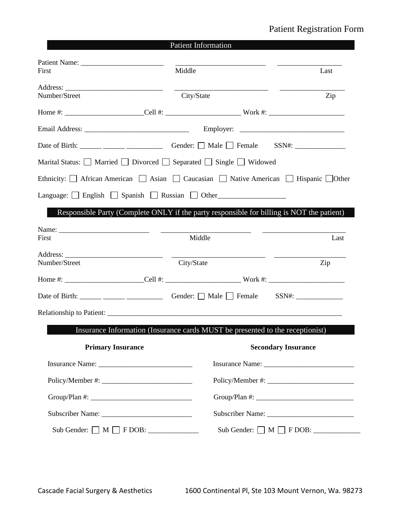## Patient Registration Form

|                                                                                                                      | <b>Patient Information</b>                                                                |           |
|----------------------------------------------------------------------------------------------------------------------|-------------------------------------------------------------------------------------------|-----------|
|                                                                                                                      |                                                                                           |           |
| First                                                                                                                | Middle                                                                                    | Last      |
|                                                                                                                      |                                                                                           |           |
| Number/Street                                                                                                        | City/State                                                                                | Zip       |
|                                                                                                                      |                                                                                           |           |
|                                                                                                                      |                                                                                           |           |
|                                                                                                                      |                                                                                           |           |
| Marital Status: $\Box$ Married $\Box$ Divorced $\Box$ Separated $\Box$ Single $\Box$ Widowed                         |                                                                                           |           |
| Ethnicity: $\Box$ African American $\Box$ Asian $\Box$ Caucasian $\Box$ Native American $\Box$ Hispanic $\Box$ Other |                                                                                           |           |
| Language: $\Box$ English $\Box$ Spanish $\Box$ Russian $\Box$ Other                                                  |                                                                                           |           |
|                                                                                                                      |                                                                                           |           |
|                                                                                                                      | Responsible Party (Complete ONLY if the party responsible for billing is NOT the patient) |           |
| First                                                                                                                | Middle                                                                                    | Last      |
|                                                                                                                      |                                                                                           |           |
| Number/Street                                                                                                        | City/State                                                                                | $\rm Zip$ |
|                                                                                                                      |                                                                                           |           |
|                                                                                                                      |                                                                                           |           |
|                                                                                                                      |                                                                                           |           |
|                                                                                                                      |                                                                                           |           |
|                                                                                                                      | Insurance Information (Insurance cards MUST be presented to the receptionist)             |           |
| <b>Primary Insurance</b>                                                                                             | <b>Secondary Insurance</b>                                                                |           |
|                                                                                                                      |                                                                                           |           |
|                                                                                                                      |                                                                                           |           |
|                                                                                                                      |                                                                                           |           |
|                                                                                                                      |                                                                                           |           |
|                                                                                                                      | Sub Gender: $\Box$ M $\Box$ F DOB: $\Box$                                                 |           |
|                                                                                                                      |                                                                                           |           |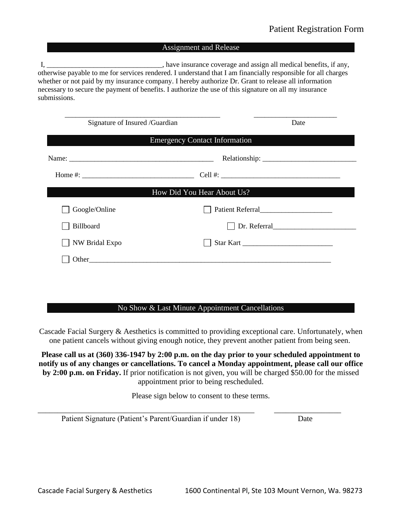#### Assignment and Release

I, \_\_\_\_\_\_\_\_\_\_\_\_\_\_\_\_\_\_\_\_\_\_\_\_\_\_\_\_\_\_\_\_, have insurance coverage and assign all medical benefits, if any, otherwise payable to me for services rendered. I understand that I am financially responsible for all charges whether or not paid by my insurance company. I hereby authorize Dr. Grant to release all information necessary to secure the payment of benefits. I authorize the use of this signature on all my insurance submissions.

| Signature of Insured /Guardian                                                                                                                                                                                                                                                                        | Date                                 |  |
|-------------------------------------------------------------------------------------------------------------------------------------------------------------------------------------------------------------------------------------------------------------------------------------------------------|--------------------------------------|--|
|                                                                                                                                                                                                                                                                                                       | <b>Emergency Contact Information</b> |  |
|                                                                                                                                                                                                                                                                                                       |                                      |  |
| Home #: $\frac{1}{2}$ = $\frac{1}{2}$ = $\frac{1}{2}$ = $\frac{1}{2}$ = $\frac{1}{2}$ = $\frac{1}{2}$ = $\frac{1}{2}$ = $\frac{1}{2}$ = $\frac{1}{2}$ = $\frac{1}{2}$ = $\frac{1}{2}$ = $\frac{1}{2}$ = $\frac{1}{2}$ = $\frac{1}{2}$ = $\frac{1}{2}$ = $\frac{1}{2}$ = $\frac{1}{2}$ = $\frac{1}{2}$ |                                      |  |
|                                                                                                                                                                                                                                                                                                       | How Did You Hear About Us?           |  |
| Google/Online                                                                                                                                                                                                                                                                                         |                                      |  |
| Billboard                                                                                                                                                                                                                                                                                             | Dr. Referral                         |  |
| NW Bridal Expo                                                                                                                                                                                                                                                                                        | Star Kart                            |  |
|                                                                                                                                                                                                                                                                                                       |                                      |  |

#### No Show & Last Minute Appointment Cancellations

Cascade Facial Surgery & Aesthetics is committed to providing exceptional care. Unfortunately, when one patient cancels without giving enough notice, they prevent another patient from being seen.

**Please call us at (360) 336-1947 by 2:00 p.m. on the day prior to your scheduled appointment to notify us of any changes or cancellations. To cancel a Monday appointment, please call our office by 2:00 p.m. on Friday.** If prior notification is not given, you will be charged \$50.00 for the missed appointment prior to being rescheduled.

Please sign below to consent to these terms.

\_\_\_\_\_\_\_\_\_\_\_\_\_\_\_\_\_\_\_\_\_\_\_\_\_\_\_\_\_\_\_\_\_\_\_\_\_\_\_\_\_\_\_\_\_\_\_\_\_\_\_\_\_\_\_ \_\_\_\_\_\_\_\_\_\_\_\_\_\_\_\_\_

Patient Signature (Patient's Parent/Guardian if under 18) Date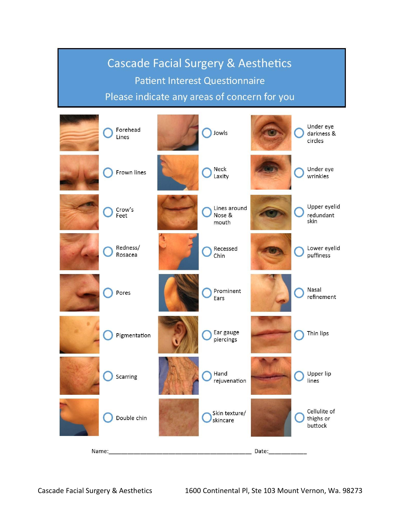# **Cascade Facial Surgery & Aesthetics Patient Interest Questionnaire** Please indicate any areas of concern for you

| Forehead<br>Lines   | Jowls                           |       | Under eye<br>darkness &<br>circles   |
|---------------------|---------------------------------|-------|--------------------------------------|
| Frown lines         | Neck<br>Laxity                  |       | Under eye<br>wrinkles                |
| Crow's<br>Feet      | Lines around<br>Nose &<br>mouth |       | Upper eyelid<br>redundant<br>skin    |
| Redness/<br>Rosacea | Recessed<br>Chin                |       | Lower eyelid<br>puffiness            |
| Pores               | Prominent<br>Ears               |       | Nasal<br>refinement                  |
| Pigmentation        | Ear gauge<br>piercings          |       | Thin lips                            |
| Scarring            | Hand<br>rejuvenation            |       | Upper lip<br>lines                   |
| Double chin         | Skin texture/<br>skincare       |       | Cellulite of<br>thighs or<br>buttock |
| Name:               |                                 | Date: |                                      |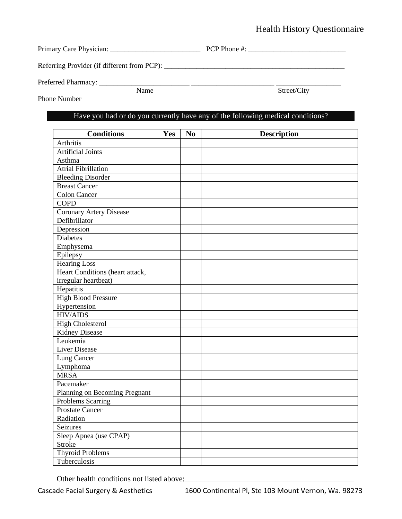## Health History Questionnaire

| Primary Care Physician:                     | PCP Phone #: |
|---------------------------------------------|--------------|
| Referring Provider (if different from PCP): |              |

Preferred Pharmacy: \_\_\_\_\_\_\_\_\_\_\_\_\_\_\_\_\_\_\_\_\_\_\_\_\_ \_\_\_\_\_\_\_\_\_\_\_\_\_\_\_\_\_\_\_\_\_\_\_ \_\_\_\_\_\_\_\_\_\_\_\_\_\_\_\_\_\_

Name Street/City

Phone Number

## Have you had or do you currently have any of the following medical conditions?

| <b>Conditions</b>               | Yes | N <sub>0</sub> | <b>Description</b> |
|---------------------------------|-----|----------------|--------------------|
| Arthritis                       |     |                |                    |
| <b>Artificial Joints</b>        |     |                |                    |
| Asthma                          |     |                |                    |
| <b>Atrial Fibrillation</b>      |     |                |                    |
| <b>Bleeding Disorder</b>        |     |                |                    |
| <b>Breast Cancer</b>            |     |                |                    |
| <b>Colon Cancer</b>             |     |                |                    |
| <b>COPD</b>                     |     |                |                    |
| <b>Coronary Artery Disease</b>  |     |                |                    |
| Defibrillator                   |     |                |                    |
| Depression                      |     |                |                    |
| <b>Diabetes</b>                 |     |                |                    |
| Emphysema                       |     |                |                    |
| Epilepsy                        |     |                |                    |
| <b>Hearing Loss</b>             |     |                |                    |
| Heart Conditions (heart attack, |     |                |                    |
| irregular heartbeat)            |     |                |                    |
| Hepatitis                       |     |                |                    |
| <b>High Blood Pressure</b>      |     |                |                    |
| Hypertension                    |     |                |                    |
| <b>HIV/AIDS</b>                 |     |                |                    |
| <b>High Cholesterol</b>         |     |                |                    |
| <b>Kidney Disease</b>           |     |                |                    |
| Leukemia                        |     |                |                    |
| <b>Liver Disease</b>            |     |                |                    |
| Lung Cancer                     |     |                |                    |
| Lymphoma                        |     |                |                    |
| <b>MRSA</b>                     |     |                |                    |
| Pacemaker                       |     |                |                    |
| Planning on Becoming Pregnant   |     |                |                    |
| <b>Problems Scarring</b>        |     |                |                    |
| <b>Prostate Cancer</b>          |     |                |                    |
| Radiation                       |     |                |                    |
| Seizures                        |     |                |                    |
| Sleep Apnea (use CPAP)          |     |                |                    |
| <b>Stroke</b>                   |     |                |                    |
| <b>Thyroid Problems</b>         |     |                |                    |
| Tuberculosis                    |     |                |                    |

Other health conditions not listed above: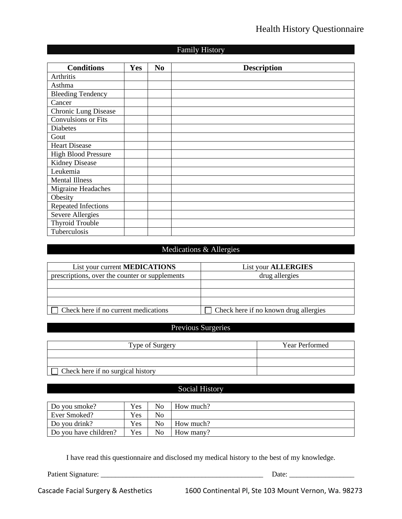## Health History Questionnaire

## Family History

| <b>Conditions</b>           | <b>Yes</b> | N <sub>0</sub> | <b>Description</b> |
|-----------------------------|------------|----------------|--------------------|
| Arthritis                   |            |                |                    |
| Asthma                      |            |                |                    |
| <b>Bleeding Tendency</b>    |            |                |                    |
| Cancer                      |            |                |                    |
| <b>Chronic Lung Disease</b> |            |                |                    |
| Convulsions or Fits         |            |                |                    |
| <b>Diabetes</b>             |            |                |                    |
| Gout                        |            |                |                    |
| <b>Heart Disease</b>        |            |                |                    |
| <b>High Blood Pressure</b>  |            |                |                    |
| <b>Kidney Disease</b>       |            |                |                    |
| Leukemia                    |            |                |                    |
| <b>Mental Illness</b>       |            |                |                    |
| Migraine Headaches          |            |                |                    |
| Obesity                     |            |                |                    |
| <b>Repeated Infections</b>  |            |                |                    |
| Severe Allergies            |            |                |                    |
| <b>Thyroid Trouble</b>      |            |                |                    |
| Tuberculosis                |            |                |                    |

#### Medications & Allergies

| List your current <b>MEDICATIONS</b>           | <b>List your ALLERGIES</b>            |
|------------------------------------------------|---------------------------------------|
| prescriptions, over the counter or supplements | drug allergies                        |
|                                                |                                       |
|                                                |                                       |
|                                                |                                       |
| Check here if no current medications           | Check here if no known drug allergies |

## Previous Surgeries

| Type of Surgery                   | <b>Year Performed</b> |
|-----------------------------------|-----------------------|
|                                   |                       |
|                                   |                       |
| Check here if no surgical history |                       |

## Social History

| Do you smoke?         | Yes        | No | How much? |
|-----------------------|------------|----|-----------|
| Ever Smoked?          | Yes        | No |           |
| Do you drink?         | Yes        | No | How much? |
| Do you have children? | <b>Yes</b> | No | How many? |

I have read this questionnaire and disclosed my medical history to the best of my knowledge.

Patient Signature: \_\_\_\_\_\_\_\_\_\_\_\_\_\_\_\_\_\_\_\_\_\_\_\_\_\_\_\_\_\_\_\_\_\_\_\_\_\_\_\_\_\_\_\_\_ Date: \_\_\_\_\_\_\_\_\_\_\_\_\_\_\_\_\_\_

Cascade Facial Surgery & Aesthetics 1600 Continental Pl, Ste 103 Mount Vernon, Wa. 98273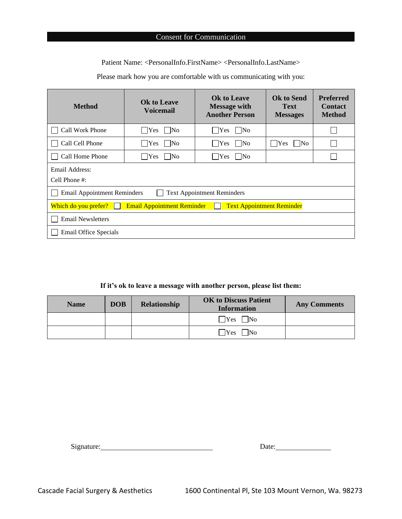Patient Name: <PersonalInfo.FirstName> <PersonalInfo.LastName>

Please mark how you are comfortable with us communicating with you:

| <b>Method</b>                                                                                 | <b>Ok to Leave</b><br><b>Voicemail</b> | <b>Ok to Leave</b><br><b>Message with</b><br><b>Another Person</b> | <b>Ok to Send</b><br><b>Text</b><br><b>Messages</b> | <b>Preferred</b><br><b>Contact</b><br><b>Method</b> |  |  |  |
|-----------------------------------------------------------------------------------------------|----------------------------------------|--------------------------------------------------------------------|-----------------------------------------------------|-----------------------------------------------------|--|--|--|
| Call Work Phone                                                                               | $\exists$ Yes<br>N <sub>0</sub>        | Yes<br>N <sub>0</sub>                                              |                                                     |                                                     |  |  |  |
| Call Cell Phone                                                                               | $\bigcap$ Yes $\bigcap$ No             | $\text{Yes}$ No                                                    | $ $ Yes $ $ No                                      |                                                     |  |  |  |
| Call Home Phone                                                                               | $Yes$   No                             | $\bigcap$ Yes $\bigcap$ No                                         |                                                     |                                                     |  |  |  |
| Email Address:<br>Cell Phone #:                                                               |                                        |                                                                    |                                                     |                                                     |  |  |  |
| <b>Email Appointment Reminders</b><br><b>Text Appointment Reminders</b>                       |                                        |                                                                    |                                                     |                                                     |  |  |  |
| <b>Text Appointment Reminder</b><br><b>Email Appointment Reminder</b><br>Which do you prefer? |                                        |                                                                    |                                                     |                                                     |  |  |  |
| <b>Email Newsletters</b>                                                                      |                                        |                                                                    |                                                     |                                                     |  |  |  |
| Email Office Specials                                                                         |                                        |                                                                    |                                                     |                                                     |  |  |  |

#### **If it's ok to leave a message with another person, please list them:**

| <b>Name</b> | <b>DOB</b> | <b>Relationship</b> | <b>OK to Discuss Patient</b><br><b>Information</b> | <b>Any Comments</b> |
|-------------|------------|---------------------|----------------------------------------------------|---------------------|
|             |            |                     | $\Box$ No<br>$\exists$ Yes $\bot$                  |                     |
|             |            |                     | $\exists$ Yes<br>N <sub>0</sub>                    |                     |

| Signature: | Date: |
|------------|-------|
|            |       |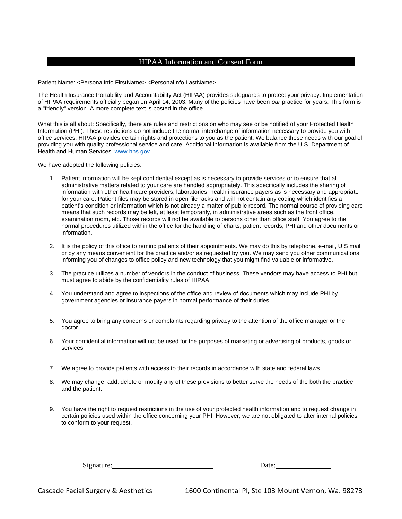#### HIPAA Information and Consent Form

Patient Name: <PersonalInfo.FirstName> <PersonalInfo.LastName>

The Health Insurance Portability and Accountability Act (HIPAA) provides safeguards to protect your privacy. Implementation of HIPAA requirements officially began on April 14, 2003. Many of the policies have been *our* practice for years. This form is a "friendly" version. A more complete text is posted in the office.

What this is all about: Specifically, there are rules and restrictions on who may see or be notified of your Protected Health Information (PHI). These restrictions do not include the normal interchange of information necessary to provide you with office services. HIPAA provides certain rights and protections to you as the patient. We balance these needs with our goal of providing you with quality professional service and care. Additional information is available from the U.S. Department of Health and Human Services[. www.hhs.gov](http://www.hhs.gov/)

We have adopted the following policies:

- 1. Patient information will be kept confidential except as is necessary to provide services or to ensure that all administrative matters related to your care are handled appropriately. This specifically includes the sharing of information with other healthcare providers, laboratories, health insurance payers as is necessary and appropriate for your care. Patient files may be stored in open file racks and will not contain any coding which identifies a patient's condition or information which is not already a matter of public record. The normal course of providing care means that such records may be left, at least temporarily, in administrative areas such as the front office, examination room, etc. Those records will not be available to persons other than office staff. You agree to the normal procedures utilized within the office for the handling of charts, patient records, PHI and other documents or information.
- 2. It is the policy of this office to remind patients of their appointments. We may do this by telephone, e-mail, U.S mail, or by any means convenient for the practice and/or as requested by you. We may send you other communications informing you of changes to office policy and new technology that you might find valuable or informative.
- 3. The practice utilizes a number of vendors in the conduct of business. These vendors may have access to PHI but must agree to abide by the confidentiality rules of HIPAA.
- 4. You understand and agree to inspections of the office and review of documents which may include PHI by government agencies or insurance payers in normal performance of their duties.
- 5. You agree to bring any concerns or complaints regarding privacy to the attention of the office manager or the doctor.
- 6. Your confidential information will not be used for the purposes of marketing or advertising of products, goods or services.
- 7. We agree to provide patients with access to their records in accordance with state and federal laws.
- 8. We may change, add, delete or modify any of these provisions to better serve the needs of the both the practice and the patient.
- 9. You have the right to request restrictions in the use of your protected health information and to request change in certain policies used within the office concerning your PHI. However, we are not obligated to alter internal policies to conform to your request.

Signature: Date: Date: